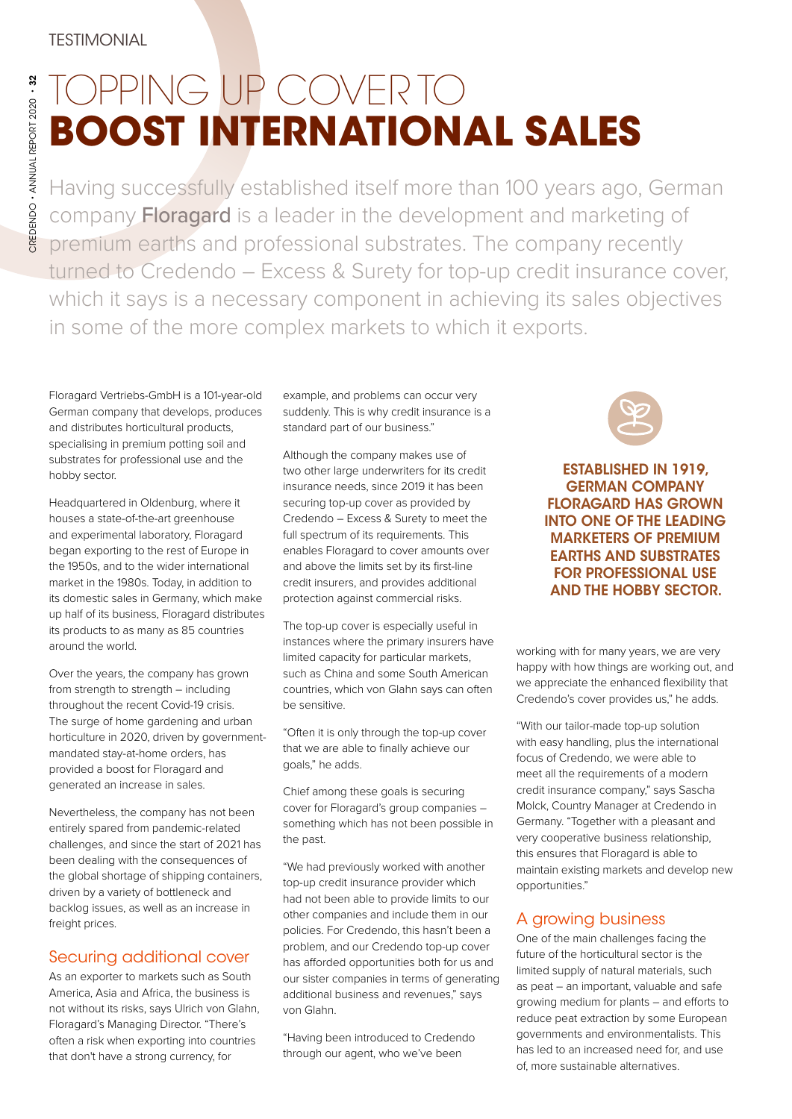## TOPPING UP COVER TO **BOOST INTERNATIONAL SALES**

Having successfully established itself more than 100 years ago, German company Floragard is a leader in the development and marketing of premium earths and professional substrates. The company recently turned to Credendo – Excess & Surety for top-up credit insurance cover, which it says is a necessary component in achieving its sales objectives in some of the more complex markets to which it exports.

Floragard Vertriebs-GmbH is a 101-year-old German company that develops, produces and distributes horticultural products, specialising in premium potting soil and substrates for professional use and the hobby sector.

Headquartered in Oldenburg, where it houses a state-of-the-art greenhouse and experimental laboratory, Floragard began exporting to the rest of Europe in the 1950s, and to the wider international market in the 1980s. Today, in addition to its domestic sales in Germany, which make up half of its business, Floragard distributes its products to as many as 85 countries around the world.

Over the years, the company has grown from strength to strength – including throughout the recent Covid-19 crisis. The surge of home gardening and urban horticulture in 2020, driven by governmentmandated stay-at-home orders, has provided a boost for Floragard and generated an increase in sales.

Nevertheless, the company has not been entirely spared from pandemic-related challenges, and since the start of 2021 has been dealing with the consequences of the global shortage of shipping containers, driven by a variety of bottleneck and backlog issues, as well as an increase in freight prices.

## Securing additional cover

As an exporter to markets such as South America, Asia and Africa, the business is not without its risks, says Ulrich von Glahn, Floragard's Managing Director. "There's often a risk when exporting into countries that don't have a strong currency, for

example, and problems can occur very suddenly. This is why credit insurance is a standard part of our business."

Although the company makes use of two other large underwriters for its credit insurance needs, since 2019 it has been securing top-up cover as provided by Credendo – Excess & Surety to meet the full spectrum of its requirements. This enables Floragard to cover amounts over and above the limits set by its first-line credit insurers, and provides additional protection against commercial risks.

The top-up cover is especially useful in instances where the primary insurers have limited capacity for particular markets, such as China and some South American countries, which von Glahn says can often be sensitive.

"Often it is only through the top-up cover that we are able to finally achieve our goals," he adds.

Chief among these goals is securing cover for Floragard's group companies – something which has not been possible in the past.

"We had previously worked with another top-up credit insurance provider which had not been able to provide limits to our other companies and include them in our policies. For Credendo, this hasn't been a problem, and our Credendo top-up cover has afforded opportunities both for us and our sister companies in terms of generating additional business and revenues," says von Glahn.

"Having been introduced to Credendo through our agent, who we've been

ESTABLISHED IN 1919, GERMAN COMPANY FLORAGARD HAS GROWN INTO ONE OF THE LEADING MARKETERS OF PREMIUM EARTHS AND SUBSTRATES FOR PROFESSIONAL USE AND THE HOBBY SECTOR.

working with for many years, we are very happy with how things are working out, and we appreciate the enhanced flexibility that Credendo's cover provides us," he adds.

"With our tailor-made top-up solution with easy handling, plus the international focus of Credendo, we were able to meet all the requirements of a modern credit insurance company," says Sascha Molck, Country Manager at Credendo in Germany. "Together with a pleasant and very cooperative business relationship, this ensures that Floragard is able to maintain existing markets and develop new opportunities."

## A growing business

One of the main challenges facing the future of the horticultural sector is the limited supply of natural materials, such as peat – an important, valuable and safe growing medium for plants – and efforts to reduce peat extraction by some European governments and environmentalists. This has led to an increased need for, and use of, more sustainable alternatives.

CREDENDO • ANNUAL REPORT 2020 • 32